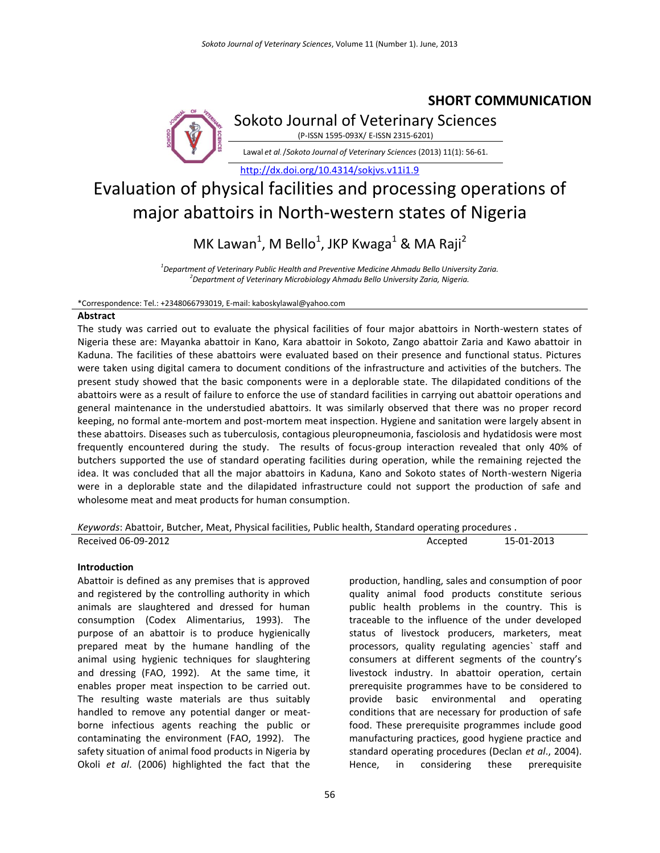

**SHORT COMMUNICATION** Sokoto Journal of Veterinary Sciences

(P-ISSN 1595-093X/ E-ISSN 2315-6201)

Lawal *et al*. /*Sokoto Journal of Veterinary Sciences* (2013) 11(1): 56-61.

[http://dx.doi.org/10.4314/sokjvs.v11i1.9](http://dx.doi.org/10.4314/sokjvs.v11i1.101)

# Evaluation of physical facilities and processing operations of major abattoirs in North-western states of Nigeria

# MK Lawan<sup>1</sup>, M Bello<sup>1</sup>, JKP Kwaga<sup>1</sup> & MA Raji<sup>2</sup>

*1 Department of Veterinary Public Health and Preventive Medicine Ahmadu Bello University Zaria. 2 Department of Veterinary Microbiology Ahmadu Bello University Zaria, Nigeria.*

\*Correspondence: Tel.: +2348066793019, E-mail: kaboskylawal@yahoo.com

#### **Abstract**

The study was carried out to evaluate the physical facilities of four major abattoirs in North-western states of Nigeria these are: Mayanka abattoir in Kano, Kara abattoir in Sokoto, Zango abattoir Zaria and Kawo abattoir in Kaduna. The facilities of these abattoirs were evaluated based on their presence and functional status. Pictures were taken using digital camera to document conditions of the infrastructure and activities of the butchers. The present study showed that the basic components were in a deplorable state. The dilapidated conditions of the abattoirs were as a result of failure to enforce the use of standard facilities in carrying out abattoir operations and general maintenance in the understudied abattoirs. It was similarly observed that there was no proper record keeping, no formal ante-mortem and post-mortem meat inspection. Hygiene and sanitation were largely absent in these abattoirs. Diseases such as tuberculosis, contagious pleuropneumonia, fasciolosis and hydatidosis were most frequently encountered during the study. The results of focus-group interaction revealed that only 40% of butchers supported the use of standard operating facilities during operation, while the remaining rejected the idea. It was concluded that all the major abattoirs in Kaduna, Kano and Sokoto states of North-western Nigeria were in a deplorable state and the dilapidated infrastructure could not support the production of safe and wholesome meat and meat products for human consumption.

*Keywords*: Abattoir, Butcher, Meat, Physical facilities, Public health, Standard operating procedures .

| Received 06-09-2012 |  |  | Accepted | L5-01-2013<br>--<br>___<br>$\sim$ |
|---------------------|--|--|----------|-----------------------------------|

# **Introduction**

Abattoir is defined as any premises that is approved and registered by the controlling authority in which animals are slaughtered and dressed for human consumption (Codex Alimentarius, 1993). The purpose of an abattoir is to produce hygienically prepared meat by the humane handling of the animal using hygienic techniques for slaughtering and dressing (FAO, 1992). At the same time, it enables proper meat inspection to be carried out. The resulting waste materials are thus suitably handled to remove any potential danger or meatborne infectious agents reaching the public or contaminating the environment (FAO, 1992). The safety situation of animal food products in Nigeria by Okoli *et al*. (2006) highlighted the fact that the production, handling, sales and consumption of poor quality animal food products constitute serious public health problems in the country. This is traceable to the influence of the under developed status of livestock producers, marketers, meat processors, quality regulating agencies` staff and consumers at different segments of the country's livestock industry. In abattoir operation, certain prerequisite programmes have to be considered to provide basic environmental and operating conditions that are necessary for production of safe food. These prerequisite programmes include good manufacturing practices, good hygiene practice and standard operating procedures (Declan *et al*., 2004). Hence, in considering these prerequisite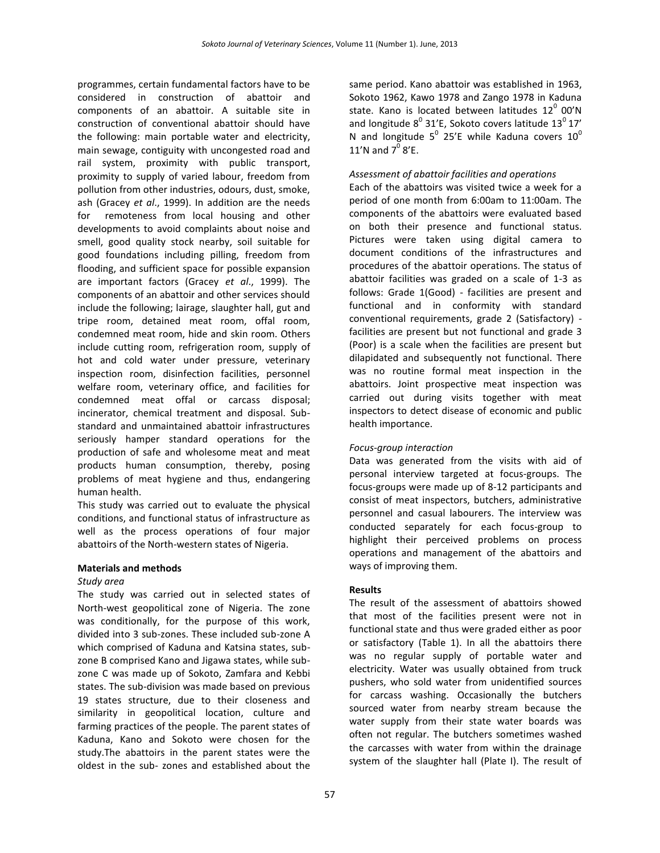programmes, certain fundamental factors have to be considered in construction of abattoir and components of an abattoir. A suitable site in construction of conventional abattoir should have the following: main portable water and electricity, main sewage, contiguity with uncongested road and rail system, proximity with public transport, proximity to supply of varied labour, freedom from pollution from other industries, odours, dust, smoke, ash (Gracey *et al*., 1999). In addition are the needs for remoteness from local housing and other developments to avoid complaints about noise and smell, good quality stock nearby, soil suitable for good foundations including pilling, freedom from flooding, and sufficient space for possible expansion are important factors (Gracey *et al*., 1999). The components of an abattoir and other services should include the following; lairage, slaughter hall, gut and tripe room, detained meat room, offal room, condemned meat room, hide and skin room. Others include cutting room, refrigeration room, supply of hot and cold water under pressure, veterinary inspection room, disinfection facilities, personnel welfare room, veterinary office, and facilities for condemned meat offal or carcass disposal; incinerator, chemical treatment and disposal. Substandard and unmaintained abattoir infrastructures seriously hamper standard operations for the production of safe and wholesome meat and meat products human consumption, thereby, posing problems of meat hygiene and thus, endangering human health.

This study was carried out to evaluate the physical conditions, and functional status of infrastructure as well as the process operations of four major abattoirs of the North-western states of Nigeria.

# **Materials and methods**

# *Study area*

The study was carried out in selected states of North-west geopolitical zone of Nigeria. The zone was conditionally, for the purpose of this work, divided into 3 sub-zones. These included sub-zone A which comprised of Kaduna and Katsina states, subzone B comprised Kano and Jigawa states, while subzone C was made up of Sokoto, Zamfara and Kebbi states. The sub-division was made based on previous 19 states structure, due to their closeness and similarity in geopolitical location, culture and farming practices of the people. The parent states of Kaduna, Kano and Sokoto were chosen for the study.The abattoirs in the parent states were the oldest in the sub- zones and established about the same period. Kano abattoir was established in 1963, Sokoto 1962, Kawo 1978 and Zango 1978 in Kaduna state. Kano is located between latitudes  $12^0$  00'N and longitude  $8^0$  31'E, Sokoto covers latitude 13 $^0$  17' N and longitude  $5^0$  25'E while Kaduna covers  $10^0$ 11'N and  $7^0$  8'E.

# *Assessment of abattoir facilities and operations*

Each of the abattoirs was visited twice a week for a period of one month from 6:00am to 11:00am. The components of the abattoirs were evaluated based on both their presence and functional status. Pictures were taken using digital camera to document conditions of the infrastructures and procedures of the abattoir operations. The status of abattoir facilities was graded on a scale of 1-3 as follows: Grade 1(Good) - facilities are present and functional and in conformity with standard conventional requirements, grade 2 (Satisfactory) facilities are present but not functional and grade 3 (Poor) is a scale when the facilities are present but dilapidated and subsequently not functional. There was no routine formal meat inspection in the abattoirs. Joint prospective meat inspection was carried out during visits together with meat inspectors to detect disease of economic and public health importance.

# *Focus-group interaction*

Data was generated from the visits with aid of personal interview targeted at focus-groups. The focus-groups were made up of 8-12 participants and consist of meat inspectors, butchers, administrative personnel and casual labourers. The interview was conducted separately for each focus-group to highlight their perceived problems on process operations and management of the abattoirs and ways of improving them.

# **Results**

The result of the assessment of abattoirs showed that most of the facilities present were not in functional state and thus were graded either as poor or satisfactory (Table 1). In all the abattoirs there was no regular supply of portable water and electricity. Water was usually obtained from truck pushers, who sold water from unidentified sources for carcass washing. Occasionally the butchers sourced water from nearby stream because the water supply from their state water boards was often not regular. The butchers sometimes washed the carcasses with water from within the drainage system of the slaughter hall (Plate I). The result of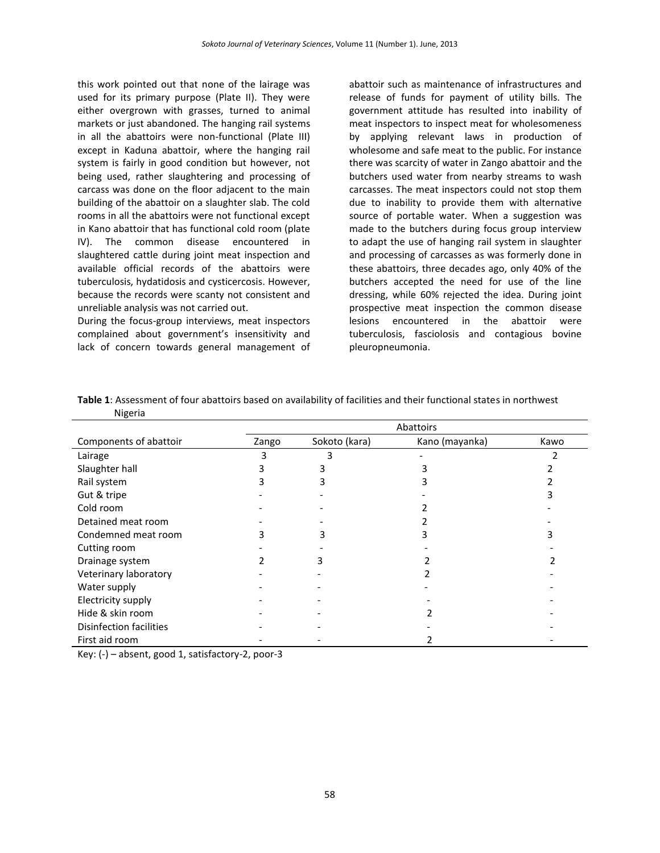this work pointed out that none of the lairage was used for its primary purpose (Plate II). They were either overgrown with grasses, turned to animal markets or just abandoned. The hanging rail systems in all the abattoirs were non-functional (Plate III) except in Kaduna abattoir, where the hanging rail system is fairly in good condition but however, not being used, rather slaughtering and processing of carcass was done on the floor adjacent to the main building of the abattoir on a slaughter slab. The cold rooms in all the abattoirs were not functional except in Kano abattoir that has functional cold room (plate IV). The common disease encountered in slaughtered cattle during joint meat inspection and available official records of the abattoirs were tuberculosis, hydatidosis and cysticercosis. However, because the records were scanty not consistent and unreliable analysis was not carried out.

During the focus-group interviews, meat inspectors complained about government's insensitivity and lack of concern towards general management of abattoir such as maintenance of infrastructures and release of funds for payment of utility bills. The government attitude has resulted into inability of meat inspectors to inspect meat for wholesomeness by applying relevant laws in production of wholesome and safe meat to the public. For instance there was scarcity of water in Zango abattoir and the butchers used water from nearby streams to wash carcasses. The meat inspectors could not stop them due to inability to provide them with alternative source of portable water. When a suggestion was made to the butchers during focus group interview to adapt the use of hanging rail system in slaughter and processing of carcasses as was formerly done in these abattoirs, three decades ago, only 40% of the butchers accepted the need for use of the line dressing, while 60% rejected the idea. During joint prospective meat inspection the common disease lesions encountered in the abattoir were tuberculosis, fasciolosis and contagious bovine pleuropneumonia.

| .                              | Abattoirs |               |                |      |  |
|--------------------------------|-----------|---------------|----------------|------|--|
| Components of abattoir         | Zango     | Sokoto (kara) | Kano (mayanka) | Kawo |  |
| Lairage                        | 3         | 3             |                |      |  |
| Slaughter hall                 |           |               | 3              |      |  |
| Rail system                    |           |               | 3              |      |  |
| Gut & tripe                    |           |               |                |      |  |
| Cold room                      |           |               |                |      |  |
| Detained meat room             |           |               |                |      |  |
| Condemned meat room            |           | 3             | 3              |      |  |
| Cutting room                   |           |               |                |      |  |
| Drainage system                |           |               |                |      |  |
| Veterinary laboratory          |           |               |                |      |  |
| Water supply                   |           |               |                |      |  |
| Electricity supply             |           |               |                |      |  |
| Hide & skin room               |           |               |                |      |  |
| <b>Disinfection facilities</b> |           |               |                |      |  |
| First aid room                 |           |               |                |      |  |

| Table 1: Assessment of four abattoirs based on availability of facilities and their functional states in northwest |  |
|--------------------------------------------------------------------------------------------------------------------|--|
| <b>Nigeria</b>                                                                                                     |  |

Key: (-) – absent, good 1, satisfactory-2, poor-3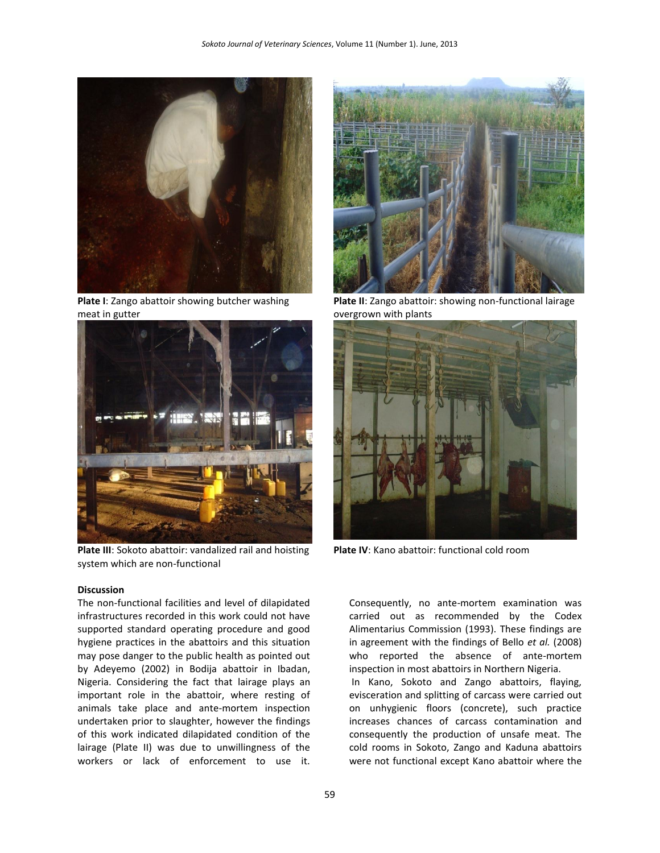

**Plate I**: Zango abattoir showing butcher washing meat in gutter



**Plate III**: Sokoto abattoir: vandalized rail and hoisting system which are non-functional

#### **Discussion**

The non-functional facilities and level of dilapidated infrastructures recorded in this work could not have supported standard operating procedure and good hygiene practices in the abattoirs and this situation may pose danger to the public health as pointed out by Adeyemo (2002) in Bodija abattoir in Ibadan, Nigeria. Considering the fact that lairage plays an important role in the abattoir, where resting of animals take place and ante-mortem inspection undertaken prior to slaughter, however the findings of this work indicated dilapidated condition of the lairage (Plate II) was due to unwillingness of the workers or lack of enforcement to use it.



**Plate II**: Zango abattoir: showing non-functional lairage overgrown with plants



**Plate IV**: Kano abattoir: functional cold room

Consequently, no ante-mortem examination was carried out as recommended by the Codex Alimentarius Commission (1993). These findings are in agreement with the findings of Bello *et al.* (2008) who reported the absence of ante-mortem inspection in most abattoirs in Northern Nigeria.

In Kano, Sokoto and Zango abattoirs, flaying, evisceration and splitting of carcass were carried out on unhygienic floors (concrete), such practice increases chances of carcass contamination and consequently the production of unsafe meat. The cold rooms in Sokoto, Zango and Kaduna abattoirs were not functional except Kano abattoir where the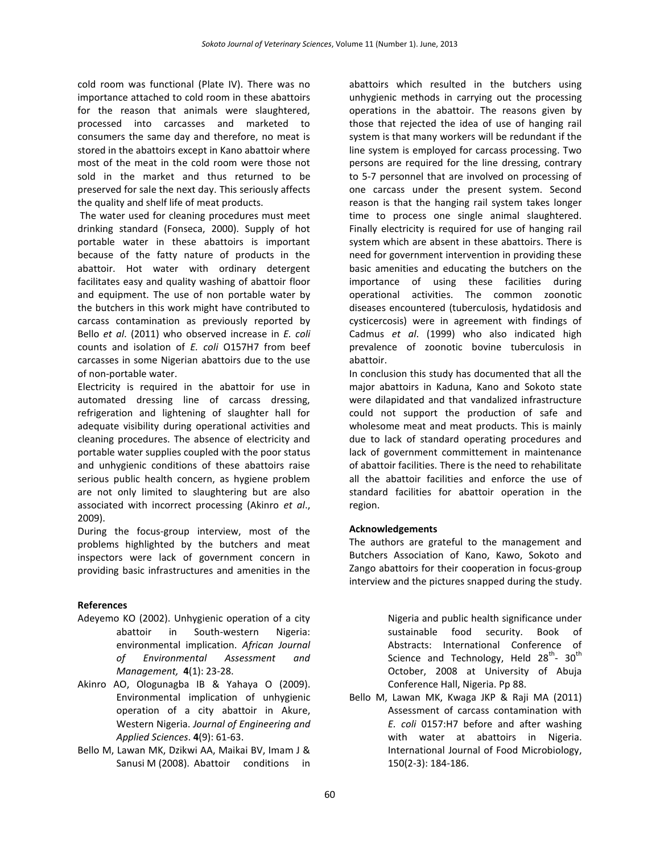cold room was functional (Plate IV). There was no importance attached to cold room in these abattoirs for the reason that animals were slaughtered, processed into carcasses and marketed to consumers the same day and therefore, no meat is stored in the abattoirs except in Kano abattoir where most of the meat in the cold room were those not sold in the market and thus returned to be preserved for sale the next day. This seriously affects the quality and shelf life of meat products.

The water used for cleaning procedures must meet drinking standard (Fonseca, 2000). Supply of hot portable water in these abattoirs is important because of the fatty nature of products in the abattoir. Hot water with ordinary detergent facilitates easy and quality washing of abattoir floor and equipment. The use of non portable water by the butchers in this work might have contributed to carcass contamination as previously reported by Bello *et al*. (2011) who observed increase in *E. coli* counts and isolation of *E. coli* O157H7 from beef carcasses in some Nigerian abattoirs due to the use of non-portable water.

Electricity is required in the abattoir for use in automated dressing line of carcass dressing, refrigeration and lightening of slaughter hall for adequate visibility during operational activities and cleaning procedures. The absence of electricity and portable water supplies coupled with the poor status and unhygienic conditions of these abattoirs raise serious public health concern, as hygiene problem are not only limited to slaughtering but are also associated with incorrect processing (Akinro *et al*., 2009).

During the focus-group interview, most of the problems highlighted by the butchers and meat inspectors were lack of government concern in providing basic infrastructures and amenities in the

# **References**

- Adeyemo KO (2002). Unhygienic operation of a city abattoir in South-western Nigeria: environmental implication. *African Journal of Environmental Assessment and Management,* **4**(1): 23-28.
- Akinro AO, Ologunagba IB & Yahaya O (2009). Environmental implication of unhygienic operation of a city abattoir in Akure, Western Nigeria. *Journal of Engineering and Applied Sciences*. **4**(9): 61-63.
- Bello M, Lawan MK, Dzikwi AA, Maikai BV, Imam J & Sanusi M (2008). Abattoir conditions in

abattoirs which resulted in the butchers using unhygienic methods in carrying out the processing operations in the abattoir. The reasons given by those that rejected the idea of use of hanging rail system is that many workers will be redundant if the line system is employed for carcass processing. Two persons are required for the line dressing, contrary to 5-7 personnel that are involved on processing of one carcass under the present system. Second reason is that the hanging rail system takes longer time to process one single animal slaughtered. Finally electricity is required for use of hanging rail system which are absent in these abattoirs. There is need for government intervention in providing these basic amenities and educating the butchers on the importance of using these facilities during operational activities. The common zoonotic diseases encountered (tuberculosis, hydatidosis and cysticercosis) were in agreement with findings of Cadmus *et al*. (1999) who also indicated high prevalence of zoonotic bovine tuberculosis in abattoir.

In conclusion this study has documented that all the major abattoirs in Kaduna, Kano and Sokoto state were dilapidated and that vandalized infrastructure could not support the production of safe and wholesome meat and meat products. This is mainly due to lack of standard operating procedures and lack of government committement in maintenance of abattoir facilities. There is the need to rehabilitate all the abattoir facilities and enforce the use of standard facilities for abattoir operation in the region.

# **Acknowledgements**

The authors are grateful to the management and Butchers Association of Kano, Kawo, Sokoto and Zango abattoirs for their cooperation in focus-group interview and the pictures snapped during the study.

> Nigeria and public health significance under sustainable food security. Book of Abstracts: International Conference of Science and Technology, Held  $28^{\text{th}}$ -  $30^{\text{th}}$ October, 2008 at University of Abuja Conference Hall, Nigeria. Pp 88.

Bello M, Lawan MK, Kwaga JKP & Raji MA (2011) Assessment of carcass contamination with *E. coli* 0157:H7 before and after washing with water at abattoirs in Nigeria. International Journal of Food Microbiology, 150(2-3): 184-186.